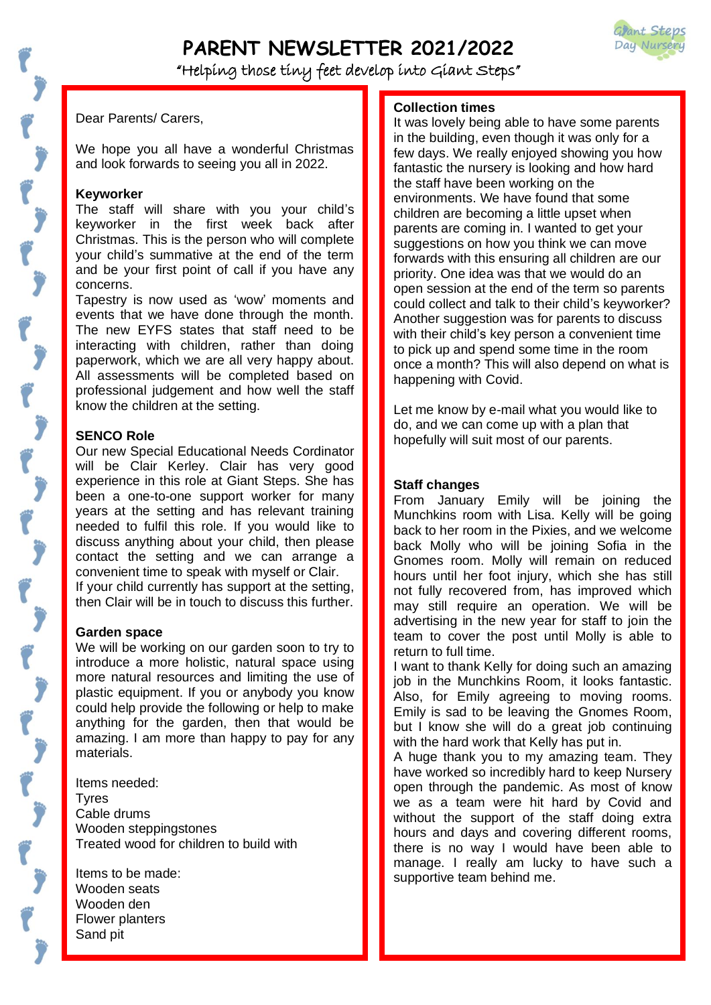

# **PARENT NEWSLETTER 2021/2022**

"Helping those tiny feet develop into Giant Steps"

Ī

Dear Parents/ Carers,

We hope you all have a wonderful Christmas and look forwards to seeing you all in 2022.

## **Keyworker**

The staff will share with you your child's keyworker in the first week back after Christmas. This is the person who will complete your child's summative at the end of the term and be your first point of call if you have any concerns.

*WELL DONE MANDY WALLET* Tapestry is now used as 'wow' moments and events that we have done through the month. The new EYFS states that staff need to be interacting with children, rather than doing paperwork, which we are all very happy about. All assessments will be completed based on professional judgement and how well the staff know the children at the setting.

## **SENCO Role**

**ae** will be Clair Kerley. Clair has very good Our new Special Educational Needs Cordinator experience in this role at Giant Steps. She has been a one-to-one support worker for many years at the setting and has relevant training needed to fulfil this role. If you would like to discuss anything about your child, then please contact the setting and we can arrange a convenient time to speak with myself or Clair. If your child currently has support at the setting, then Clair will be in touch to discuss this further.

## **Garden space**

We will be working on our garden soon to try to introduce a more holistic, natural space using more natural resources and limiting the use of plastic equipment. If you or anybody you know could help provide the following or help to make anything for the garden, then that would be amazing. I am more than happy to pay for any materials.

Items needed: Tyres Cable drums Wooden steppingstones Treated wood for children to build with

Items to be made: Wooden seats Wooden den Flower planters Sand pit

# **Collection times**

It was lovely being able to have some parents in the building, even though it was only for a few days. We really enjoyed showing you how fantastic the nursery is looking and how hard the staff have been working on the environments. We have found that some children are becoming a little upset when parents are coming in. I wanted to get your suggestions on how you think we can move forwards with this ensuring all children are our priority. One idea was that we would do an open session at the end of the term so parents could collect and talk to their child's keyworker? Another suggestion was for parents to discuss with their child's key person a convenient time to pick up and spend some time in the room once a month? This will also depend on what is happening with Covid.

Let me know by e-mail what you would like to do, and we can come up with a plan that hopefully will suit most of our parents.

## **Staff changes**

From January Emily will be joining the Munchkins room with Lisa. Kelly will be going back to her room in the Pixies, and we welcome back Molly who will be joining Sofia in the Gnomes room. Molly will remain on reduced hours until her foot injury, which she has still not fully recovered from, has improved which may still require an operation. We will be advertising in the new year for staff to join the team to cover the post until Molly is able to return to full time.

I want to thank Kelly for doing such an amazing job in the Munchkins Room, it looks fantastic. Also, for Emily agreeing to moving rooms. Emily is sad to be leaving the Gnomes Room, but I know she will do a great job continuing with the hard work that Kelly has put in.

A huge thank you to my amazing team. They have worked so incredibly hard to keep Nursery open through the pandemic. As most of know we as a team were hit hard by Covid and without the support of the staff doing extra hours and days and covering different rooms, there is no way I would have been able to manage. I really am lucky to have such a supportive team behind me.